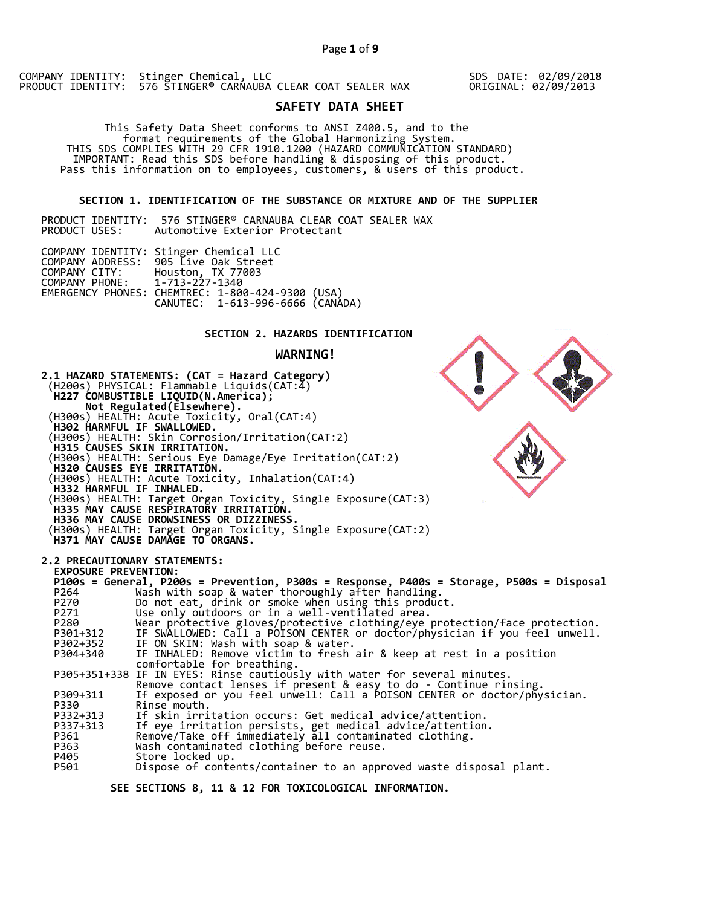SDS DATE: 02/09/2018 ORIGINAL: 02/09/2013

# **SAFETY DATA SHEET**

 This Safety Data Sheet conforms to ANSI Z400.5, and to the format requirements of the Global Harmonizing System. THIS SDS COMPLIES WITH 29 CFR 1910.1200 (HAZARD COMMUNICATION STANDARD) IMPORTANT: Read this SDS before handling & disposing of this product. Pass this information on to employees, customers, & users of this product.

## **SECTION 1. IDENTIFICATION OF THE SUBSTANCE OR MIXTURE AND OF THE SUPPLIER**

|               | PRODUCT IDENTITY:  576 STINGER® CARNAUBA CLEAR COAT SEALER WAX |  |                                |  |  |  |
|---------------|----------------------------------------------------------------|--|--------------------------------|--|--|--|
| PRODUCT USES: |                                                                |  | Automotive Exterior Protectant |  |  |  |

| COMPANY CITY:                 | COMPANY IDENTITY: Stinger Chemical LLC<br>COMPANY ADDRESS: 905 Live Oak Street                            |  |
|-------------------------------|-----------------------------------------------------------------------------------------------------------|--|
| COMPANY PHONE: 1-713-227-1340 | Houston, TX 77003<br>EMERGENCY PHONES: CHEMTREC: 1-800-424-9300 (USA)<br>CANUTEC: 1-613-996-6666 (CANÁDA) |  |

## **SECTION 2. HAZARDS IDENTIFICATION**

#### **WARNING!**



 **SEE SECTIONS 8, 11 & 12 FOR TOXICOLOGICAL INFORMATION.**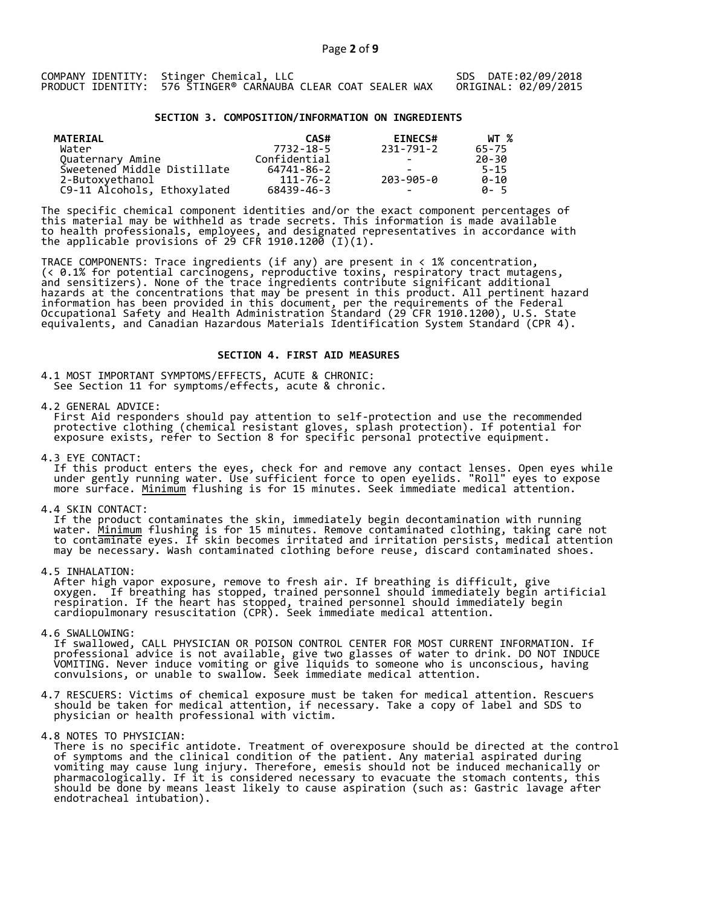## **SECTION 3. COMPOSITION/INFORMATION ON INGREDIENTS**

| <b>MATERIAL</b><br>Water    | CAS#<br>7732-18-5 | <b>EINECS#</b><br>231-791-2 | WT %<br>65-75 |
|-----------------------------|-------------------|-----------------------------|---------------|
| Quaternary Amine            | Confidential      | $\overline{\phantom{0}}$    | 20-30         |
| Sweetened Middle Distillate | 64741-86-2        | -                           | $5 - 15$      |
| 2-Butoxyethanol             | $111 - 76 - 2$    | 203-905-0                   | $0 - 10$      |
| C9-11 Alcohols, Ethoxylated | 68439-46-3        | $\overline{\phantom{0}}$    | A-5           |

The specific chemical component identities and/or the exact component percentages of this material may be withheld as trade secrets. This information is made available to health professionals, employees, and designated representatives in accordance with the applicable provisions of 29 CFR 1910.1200̄ (I)(1).  $\overline{\phantom{a}}$ 

TRACE COMPONENTS: Trace ingredients (if any) are present in < 1% concentration, (< 0.1% for potential carcinogens, reproductive toxins, respiratory tract mutagens, and sensitizers). None of the trace ingredients contribute significant additional hazards at the concentrations that may be present in this product. All pertinent hazard information has been provided in this document, per the requirements of the Federal Occupational Safety and Health Administration Standard (29 CFR 1910.1200), U.S. State equivalents, and Canadian Hazardous Materials Identification System Standard (CPR 4).

#### **SECTION 4. FIRST AID MEASURES**

4.1 MOST IMPORTANT SYMPTOMS/EFFECTS, ACUTE & CHRONIC: See Section 11 for symptoms/effects, acute & chronic.

4.2 GENERAL ADVICE:

 First Aid responders should pay attention to self-protection and use the recommended protective clothing (chemical resistant gloves, splash protection). If potential for exposure exists, refer to Section 8 for specific personal protective equipment.

4.3 EYE CONTACT:

 If this product enters the eyes, check for and remove any contact lenses. Open eyes while under gently running water. Use sufficient force to open eyelids. "Roll" eyes to expose more surface. <u>Minimum</u> flushing is for 15 minutes. Seek immediate medical attention.

4.4 SKIN CONTACT:

 If the product contaminates the skin, immediately begin decontamination with running water. <u>Minimum</u> flushing is for 15 minutes. Remove contaminated clothing, taking care not to contaminate eyes. If skin becomes irritated and irritation persists, medical attention may be necessary. Wash contaminated clothing before reuse, discard contaminated shoes.

4.5 INHALATION:

 After high vapor exposure, remove to fresh air. If breathing is difficult, give oxygen. If breathing has stopped, trained personnel should immediately begin artificial respiration. If the heart has stopped, trained personnel should immediately begin cardiopulmonary resuscitation (CPR). Seek immediate medical attention.

4.6 SWALLOWING:

 If swallowed, CALL PHYSICIAN OR POISON CONTROL CENTER FOR MOST CURRENT INFORMATION. If professional advice is not available, give two glasses of water to drink. DO NOT INDUCE VOMITING. Never induce vomiting or give liquids to someone who is unconscious, having convulsions, or unable to swallow. Seek immediate medical attention.

- 4.7 RESCUERS: Victims of chemical exposure must be taken for medical attention. Rescuers should be taken for medical attention, if necessary. Take a copy of label and SDS to physician or health professional with victim.
- 4.8 NOTES TO PHYSICIAN:

 There is no specific antidote. Treatment of overexposure should be directed at the control of symptoms and the clinical condition of the patient. Any material aspirated during vomiting may cause lung injury. Therefore, emesis should not be induced mechanically or pharmacologically. If it is considered necessary to evacuate the stomach contents, this should be done by means least likely to cause aspiration (such as: Gastric lavage after endotracheal intubation).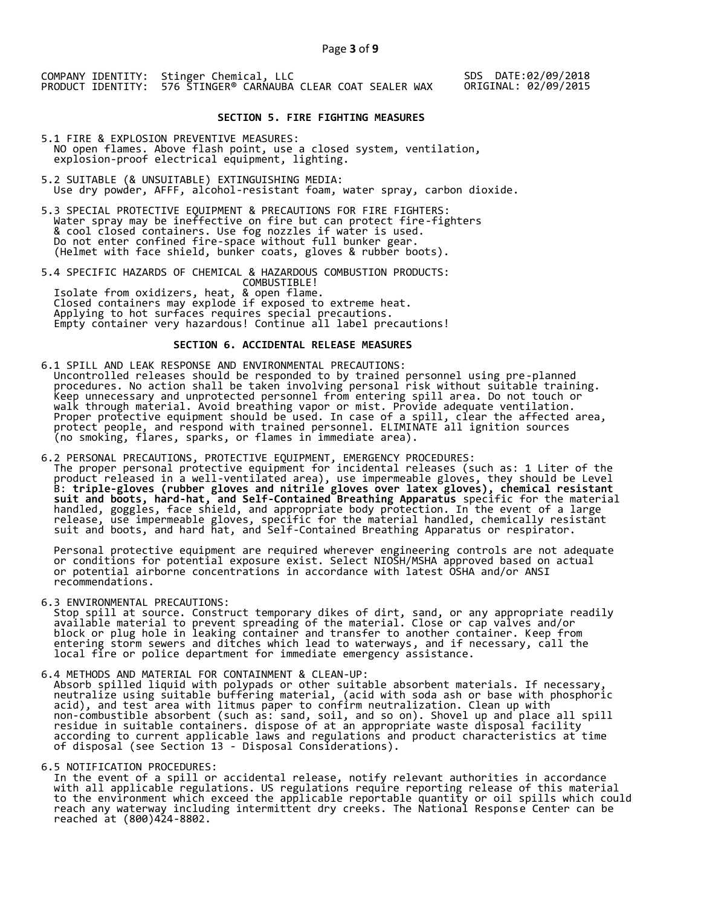SDS DATE:02/09/2018 ORIGINAL: 02/09/2015

## **SECTION 5. FIRE FIGHTING MEASURES**

- 5.1 FIRE & EXPLOSION PREVENTIVE MEASURES: NO open flames. Above flash point, use a closed system, ventilation, explosion-proof electrical equipment, lighting.
- 5.2 SUITABLE (& UNSUITABLE) EXTINGUISHING MEDIA: Use dry powder, AFFF, alcohol-resistant foam, water spray, carbon dioxide.
- 5.3 SPECIAL PROTECTIVE EQUIPMENT & PRECAUTIONS FOR FIRE FIGHTERS: Water spray may be ineffective on fire but can protect fire-fighters & cool closed containers. Use fog nozzles if water is used. Do not enter confined fire-space without full bunker gear. (Helmet with face shield, bunker coats, gloves & rubber boots).
- 5.4 SPECIFIC HAZARDS OF CHEMICAL & HAZARDOUS COMBUSTION PRODUCTS: COMBUSTIBLE! Isolate from oxidizers, heat, & open flame. Closed containers may explode if exposed to extreme heat. Applying to hot surfaces requires special precautions. Empty container very hazardous! Continue all label precautions!

## **SECTION 6. ACCIDENTAL RELEASE MEASURES**

- 6.1 SPILL AND LEAK RESPONSE AND ENVIRONMENTAL PRECAUTIONS: Uncontrolled releases should be responded to by trained personnel using pre-planned procedures. No action shall be taken involving personal risk without suitable training. Keep unnecessary and unprotected personnel from entering spill area. Do not touch or walk through material. Avoid breathing vapor or mist. Provide adequate ventilation. Proper protective equipment should be used. In case of a spill, clear the affected area, protect people, and respond with trained personnel. ELIMINATE all ignition sources (no smoking, flares, sparks, or flames in immediate area).
- 6.2 PERSONAL PRECAUTIONS, PROTECTIVE EQUIPMENT, EMERGENCY PROCEDURES: The proper personal protective equipment for incidental releases (such as: 1 Liter of the product released in a well-ventilated area), use impermeable gloves, they should be Level B: **triple-gloves (rubber gloves and nitrile gloves over latex gloves), chemical resistant suit and boots, hard-hat, and Self-Contained Breathing Apparatus** specific for the material handled, goggles, face shield, and appropriate body protection. In the event of a large release, use impermeable gloves, specific for the material handled, chemically resistant suit and boots, and hard hat, and Self-Contained Breathing Apparatus or respirator.

 Personal protective equipment are required wherever engineering controls are not adequate or conditions for potential exposure exist. Select NIOSH/MSHA approved based on actual or potential airborne concentrations in accordance with latest OSHA and/or ANSI recommendations.

6.3 ENVIRONMENTAL PRECAUTIONS:

 Stop spill at source. Construct temporary dikes of dirt, sand, or any appropriate readily available material to prevent spreading of the material. Close or cap valves and/or block or plug hole in leaking container and transfer to another container. Keep from entering storm sewers and ditches which lead to waterways, and if necessary, call the local fire or police department for immediate emergency assistance.

6.4 METHODS AND MATERIAL FOR CONTAINMENT & CLEAN-UP:

 Absorb spilled liquid with polypads or other suitable absorbent materials. If necessary, neutralize using suitable buffering material, (acid with soda ash or base with phosphoric acid), and test area with litmus paper to confirm neutralization. Clean up with non-combustible absorbent (such as: sand, soil, and so on). Shovel up and place all spill residue in suitable containers. dispose of at an appropriate waste disposal facility according to current applicable laws and regulations and product characteristics at time of disposal (see Section 13 - Disposal Considerations).

#### 6.5 NOTIFICATION PROCEDURES:

 In the event of a spill or accidental release, notify relevant authorities in accordance with all applicable regulations. US regulations require reporting release of this material to the environment which exceed the applicable reportable quantity or oil spills which could reach any waterway including intermittent dry creeks. The National Response Center can be reached at (800)424-8802.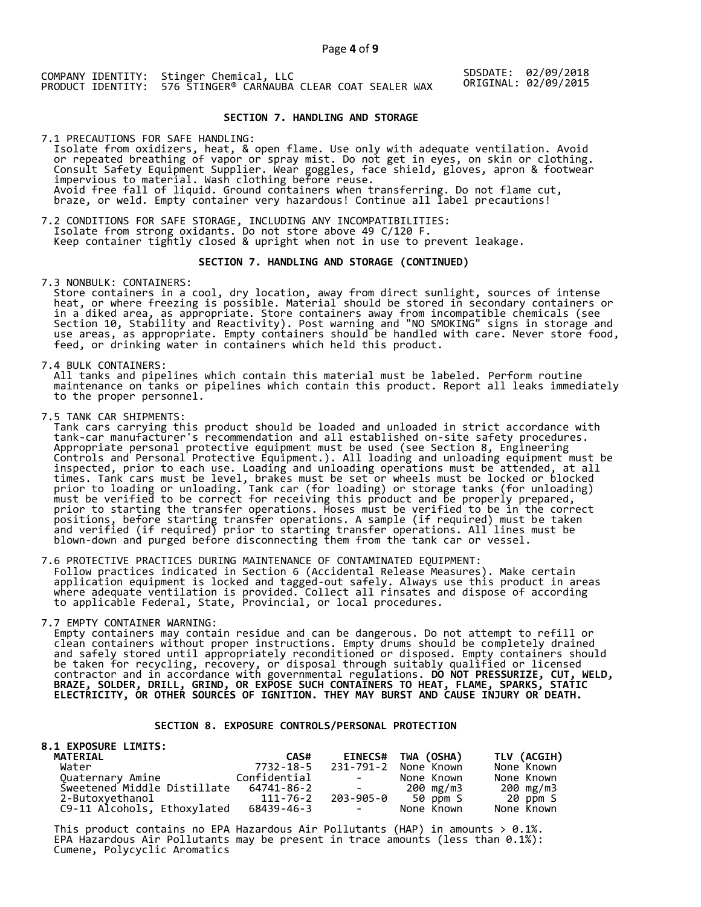SDSDATE: 02/09/2018 ORIGINAL: 02/09/2015

## **SECTION 7. HANDLING AND STORAGE**

7.1 PRECAUTIONS FOR SAFE HANDLING: Isolate from oxidizers, heat, & open flame. Use only with adequate ventilation. Avoid or repeated breathing of vapor or spray mist. Do not get in eyes, on skin or clothing. Consult Safety Equipment Supplier. Wear goggles, face shield, gloves, apron & footwear impervious to material. Wash clothing before reuse. Avoid free fall of liquid. Ground containers when transferring. Do not flame cut, braze, or weld. Empty container very hazardous! Continue all label precautions!

7.2 CONDITIONS FOR SAFE STORAGE, INCLUDING ANY INCOMPATIBILITIES: Isolate from strong oxidants. Do not store above 49 C/120 F. Keep container tightly closed & upright when not in use to prevent leakage.

#### **SECTION 7. HANDLING AND STORAGE (CONTINUED)**

7.3 NONBULK: CONTAINERS:

 Store containers in a cool, dry location, away from direct sunlight, sources of intense heat, or where freezing is possible. Material should be stored in secondary containers or in a diked area, as appropriate. Store containers away from incompatible chemicals (see Section 10, Stability and Reactivity). Post warning and "NO SMOKING" signs in storage and use areas, as appropriate. Empty containers should be handled with care. Never store food, feed, or drinking water in containers which held this product.

7.4 BULK CONTAINERS:

 All tanks and pipelines which contain this material must be labeled. Perform routine maintenance on tanks or pipelines which contain this product. Report all leaks immediately to the proper personnel.

7.5 TANK CAR SHIPMENTS:

 Tank cars carrying this product should be loaded and unloaded in strict accordance with tank-car manufacturer's recommendation and all established on-site safety procedures. Appropriate personal protective equipment must be used (see Section 8, Engineering Controls and Personal Protective Equipment.). All loading and unloading equipment must be inspected, prior to each use. Loading and unloading operations must be attended, at all times. Tank cars must be level, brakes must be set or wheels must be locked or blocked prior to loading or unloading. Tank car (for loading) or storage tanks (for unloading) must be verified to be correct for receiving this product and be properly prepared, prior to starting the transfer operations. Hoses must be verified to be in the correct positions, before starting transfer operations. A sample (if required) must be taken and verified (if required) prior to starting transfer operations. All lines must be blown-down and purged before disconnecting them from the tank car or vessel.

7.6 PROTECTIVE PRACTICES DURING MAINTENANCE OF CONTAMINATED EQUIPMENT: Follow practices indicated in Section 6 (Accidental Release Measures). Make certain application equipment is locked and tagged-out safely. Always use this product in areas where adequate ventilation is provided. Collect all rinsates and dispose of according to applicable Federal, State, Provincial, or local procedures.

7.7 EMPTY CONTAINER WARNING:

 Empty containers may contain residue and can be dangerous. Do not attempt to refill or clean containers without proper instructions. Empty drums should be completely drained and safely stored until appropriately reconditioned or disposed. Empty containers should be taken for recycling, recovery, or disposal through suitably qualified or licensed contractor and in accordance with governmental regulations. **DO NOT PRESSURIZE, CUT, WELD, BRAZE, SOLDER, DRILL, GRIND, OR EXPOSE SUCH CONTAINERS TO HEAT, FLAME, SPARKS, STATIC ELECTRICITY, OR OTHER SOURCES OF IGNITION. THEY MAY BURST AND CAUSE INJURY OR DEATH.**

## **SECTION 8. EXPOSURE CONTROLS/PERSONAL PROTECTION**

#### **8.1 EXPOSURE LIMITS: MATERIAL CAS# EINECS# TWA (OSHA) TLV (ACGIH)**  7732-18-5 231-791-2 None Known None Known<br>Confidential - None Known None Known Quaternary Amine Confidential - None Known None Known Sweetened Middle Distillate 64741-86-2 - 200 mg/m3 200 mg/m3 Sweetened Middle Distillate 64741-86-2 200 mg/m3 200 mg/m3<br>2-Butoxyethanol 111-76-2 203-905-0 50 ppm S 20 ppm S<br>C9-11 Alcohols, Eth C9-11 Alcohols, Ethoxylated

This product contains no EPA Hazardous Air Pollutants (HAP) in amounts  $> 0.1\%$ . EPA Hazardous Air Pollutants may be present in trace amounts (less than 0.1%): Cumene, Polycyclic Aromatics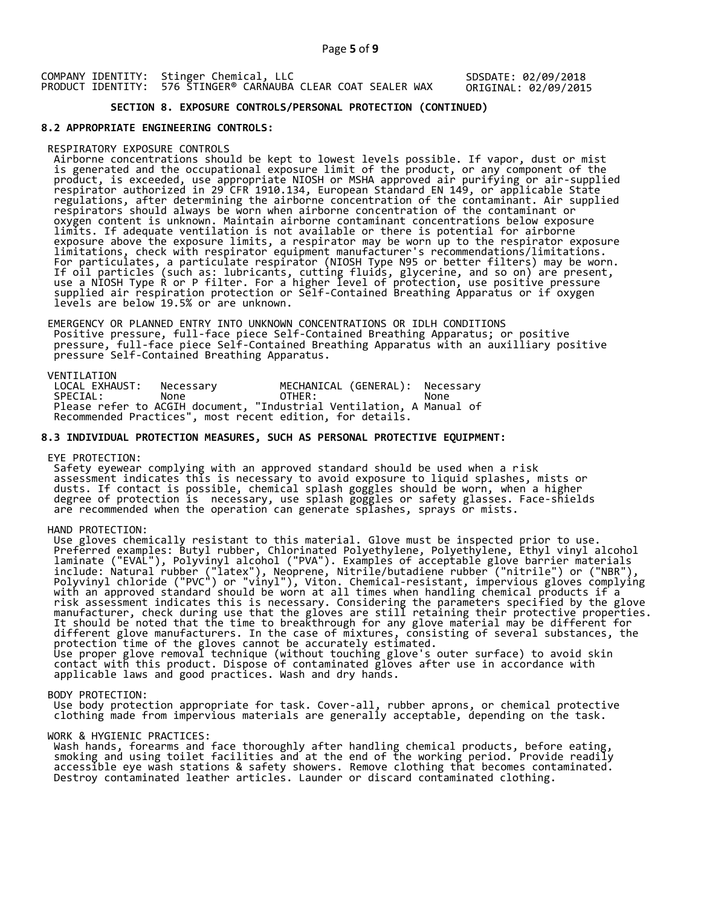## Page **5** of **9**

COMPANY IDENTITY: Stinger Chemical, LLC PRODUCT IDENTITY: 576 STINGER® CARNAUBA CLEAR COAT SEALER WAX SDSDATE: 02/09/2018 ORIGINAL: 02/09/2015

# **SECTION 8. EXPOSURE CONTROLS/PERSONAL PROTECTION (CONTINUED)**

#### **8.2 APPROPRIATE ENGINEERING CONTROLS:**

#### RESPIRATORY EXPOSURE CONTROLS

 Airborne concentrations should be kept to lowest levels possible. If vapor, dust or mist is generated and the occupational exposure limit of the product, or any component of the product, is exceeded, use appropriate NIOSH or MSHA approved air purifying or air-supplied respirator authorized in 29 CFR 1910.134, European Standard EN 149, or applicable State regulations, after determining the airborne concentration of the contaminant. Air supplied respirators should always be worn when airborne concentration of the contaminant or oxygen content is unknown. Maintain airborne contaminant concentrations below exposure limits. If adequate ventilation is not available or there is potential for airborne exposure above the exposure limits, a respirator may be worn up to the respirator exposure limitations, check with respirator equipment manufacturer's recommendations/limitations. For particulates, a particulate respirator (NIOSH Type N95 or better filters) may be worn. If oil particles (such as: lubricants, cutting fluids, glycerine, and so on) are present, use a NIOSH Type R or P filter. For a higher level of protection, use positive pressure supplied air respiration protection or Self-Contained Breathing Apparatus or if oxygen levels are below 19.5% or are unknown.

 EMERGENCY OR PLANNED ENTRY INTO UNKNOWN CONCENTRATIONS OR IDLH CONDITIONS Positive pressure, full-face piece Self-Contained Breathing Apparatus; or positive pressure, full-face piece Self-Contained Breathing Apparatus with an auxilliary positive pressure Self-Contained Breathing Apparatus.

VENTILATION<br>LOCAL EXHAUST: LOCAL EXHAUST: Necessary MECHANICAL (GENERAL): Necessary SPECIAL: None OTHER: None Please refer to ACGIH document, "Industrial Ventilation, A Manual of Recommended Practices", most recent edition, for details.

#### **8.3 INDIVIDUAL PROTECTION MEASURES, SUCH AS PERSONAL PROTECTIVE EQUIPMENT:**

EYE PROTECTION:

 Safety eyewear complying with an approved standard should be used when a risk assessment indicates this is necessary to avoid exposure to liquid splashes, mists or dusts. If contact is possible, chemical splash goggles should be worn, when a higher degree of protection is necessary, use splash goggles or safety glasses. Face-shields are recommended when the operation can generate splashes, sprays or mists.

## HAND PROTECTION:

 Use gloves chemically resistant to this material. Glove must be inspected prior to use. Preferred examples: Butyl rubber, Chlorinated Polyethylene, Polyethylene, Ethyl vinyl alcohol laminate ("EVAL"), Polyvinyl alcohol ("PVA"). Examples of acceptable glove barrier materials include: Natural rubber ("latex"), Neoprene, Nitrile/butadiene rubber ("nitrile") or ("NBR"), Polyvinyl chloride ("PVC") or "vinyl"), Viton. Chemical-resistant, impervious gloves complying with an approved standard should be worn at all times when handling chemical products if a risk assessment indicates this is necessary. Considering the parameters specified by the glove manufacturer, check during use that the gloves are still retaining their protective properties. It should be noted that the time to breakthrough for any glove material may be different for different glove manufacturers. In the case of mixtures, consisting of several substances, the protection time of the gloves cannot be accurately estimated. Use proper glove removal technique (without touching glove's outer surface) to avoid skin contact with this product. Dispose of contaminated gloves after use in accordance with applicable laws and good practices. Wash and dry hands.

#### BODY PROTECTION:

 Use body protection appropriate for task. Cover-all, rubber aprons, or chemical protective clothing made from impervious materials are generally acceptable, depending on the task.

#### WORK & HYGIENIC PRACTICES:

 Wash hands, forearms and face thoroughly after handling chemical products, before eating, smoking and using toilet facilities and at the end of the working period. Provide readily accessible eye wash stations & safety showers. Remove clothing that becomes contaminated. Destroy contaminated leather articles. Launder or discard contaminated clothing.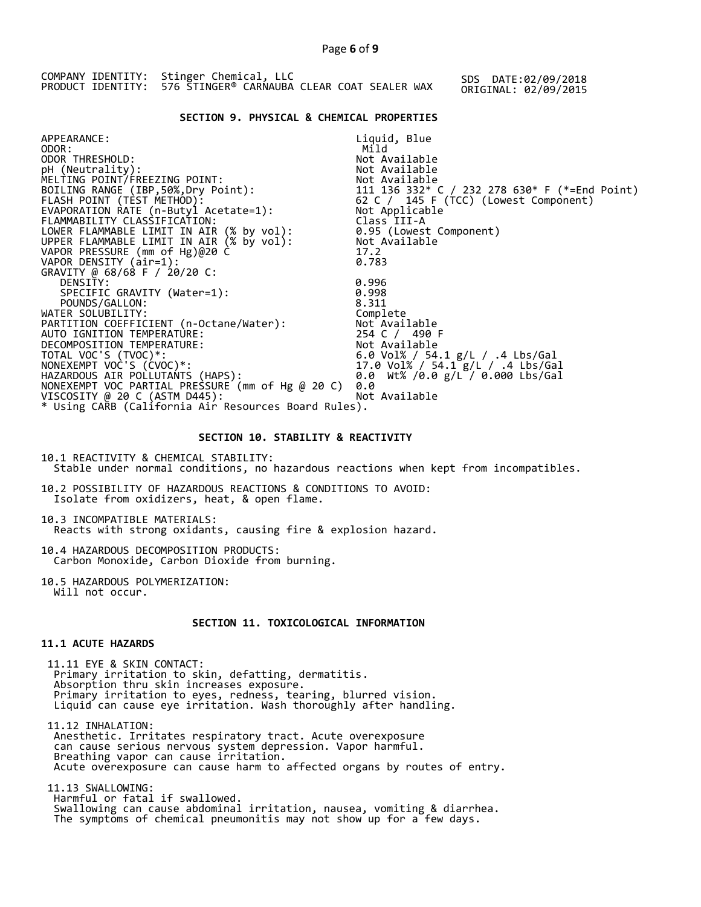|  | COMPANY IDENTITY: Stinger Chemical, LLC<br>PRODUCT IDENTITY: 576 STINGER® CARNAUBA CLEAR COAT SEALER WAX |  |  |  | SDS DATE:02/09/2018<br>ORIGINAL: 02/09/2015 |  |
|--|----------------------------------------------------------------------------------------------------------|--|--|--|---------------------------------------------|--|
|  |                                                                                                          |  |  |  |                                             |  |

## **SECTION 9. PHYSICAL & CHEMICAL PROPERTIES**

| APPEARANCE:                                                                          | Liquid, Blue                                                                                                |
|--------------------------------------------------------------------------------------|-------------------------------------------------------------------------------------------------------------|
| ODOR:                                                                                | Mild                                                                                                        |
| ODOR THRESHOLD:                                                                      | Not Available                                                                                               |
| pH (Neutrality):                                                                     | Not Available                                                                                               |
| MELTING POINT/FREEZING POINT:                                                        |                                                                                                             |
| BOILING RANGE (IBP, 50%, Dry Point):                                                 |                                                                                                             |
| FLASH POINT (TÈST METHOD):                                                           | Not Available<br>111  136  332* C / 232  278  630* F (*=End Point)<br>62 C / 145 F (TCC) (Lowest Component) |
| EVAPORATION RATE (n-Butyl Acetate=1):                                                | Not Applicable                                                                                              |
| FLAMMABILITY CLASSIFICATION:                                                         | Class III-A                                                                                                 |
|                                                                                      | 0.95 (Lowest Component)                                                                                     |
| LOWER FLAMMABLE LIMIT IN AIR (% by vol):<br>UPPER FLAMMABLE LIMIT IN AIR (% by vol): | Not Available                                                                                               |
| VAPOR PRESSURE (mm of Hg)@20 C                                                       | 17.2                                                                                                        |
| VAPOR DENSITY (air=1):                                                               | 0.783                                                                                                       |
| GRAVITY @ 68/68 F / 20/20 C:                                                         |                                                                                                             |
| DENSITY:                                                                             | 0.996                                                                                                       |
| SPECIFIC GRAVITY (Water=1):                                                          | 0.998                                                                                                       |
| POUNDS/GALLON:                                                                       | 8.311                                                                                                       |
| WATER SOLUBILITY:                                                                    | Complete                                                                                                    |
| PARTITION COEFFICIENT (n-Octane/Water):                                              | Not Available                                                                                               |
| AUTO IGNITION TEMPERATURE:                                                           | 254 C / 490 F                                                                                               |
| DECOMPOSITION TEMPERATURE:                                                           | Not Available                                                                                               |
| TOTAL VOC'S (TVOC)*:                                                                 | 6.0 Vol% / 54.1 g/L / .4 Lbs/Gal<br>17.0 Vol% / 54.1 g/l / 4 lbs/Gal                                        |
| NONEXEMPT VOC'S (CVOC)*:                                                             | 17.0 Vol% / 54.1 g/L / .4 Lbs/Gal                                                                           |
| HAZARDOUS AIR POLLUTANTS (HAPS):                                                     | 0.0 Wt% /0.0 g/L / 0.000 Lbs/Gal                                                                            |
| NONEXEMPT VOC PARTIAL PRESSURE (mm of Hg @ 20 C)                                     | 0.0                                                                                                         |
| VISCOSITY @ 20 C (ASTM D445):                                                        | Not Available                                                                                               |
| * Using CARB (California Air Resources Board Rules).                                 |                                                                                                             |
|                                                                                      |                                                                                                             |

#### **SECTION 10. STABILITY & REACTIVITY**

10.1 REACTIVITY & CHEMICAL STABILITY: Stable under normal conditions, no hazardous reactions when kept from incompatibles.

10.2 POSSIBILITY OF HAZARDOUS REACTIONS & CONDITIONS TO AVOID: Isolate from oxidizers, heat, & open flame.

10.3 INCOMPATIBLE MATERIALS: Reacts with strong oxidants, causing fire & explosion hazard.

10.4 HAZARDOUS DECOMPOSITION PRODUCTS: Carbon Monoxide, Carbon Dioxide from burning.

10.5 HAZARDOUS POLYMERIZATION: Will not occur.

## **SECTION 11. TOXICOLOGICAL INFORMATION**

## **11.1 ACUTE HAZARDS**

 11.11 EYE & SKIN CONTACT: Primary irritation to skin, defatting, dermatitis. Absorption thru skin increases exposure. Primary irritation to eyes, redness, tearing, blurred vision. Liquid can cause eye irritation. Wash thoroughly after handling.

 11.12 INHALATION: Anesthetic. Irritates respiratory tract. Acute overexposure can cause serious nervous system depression. Vapor harmful. Breathing vapor can cause irritation. Acute overexposure can cause harm to affected organs by routes of entry.

 11.13 SWALLOWING: Harmful or fatal if swallowed. Swallowing can cause abdominal irritation, nausea, vomiting & diarrhea. The symptoms of chemical pneumonitis may not show up for a few days.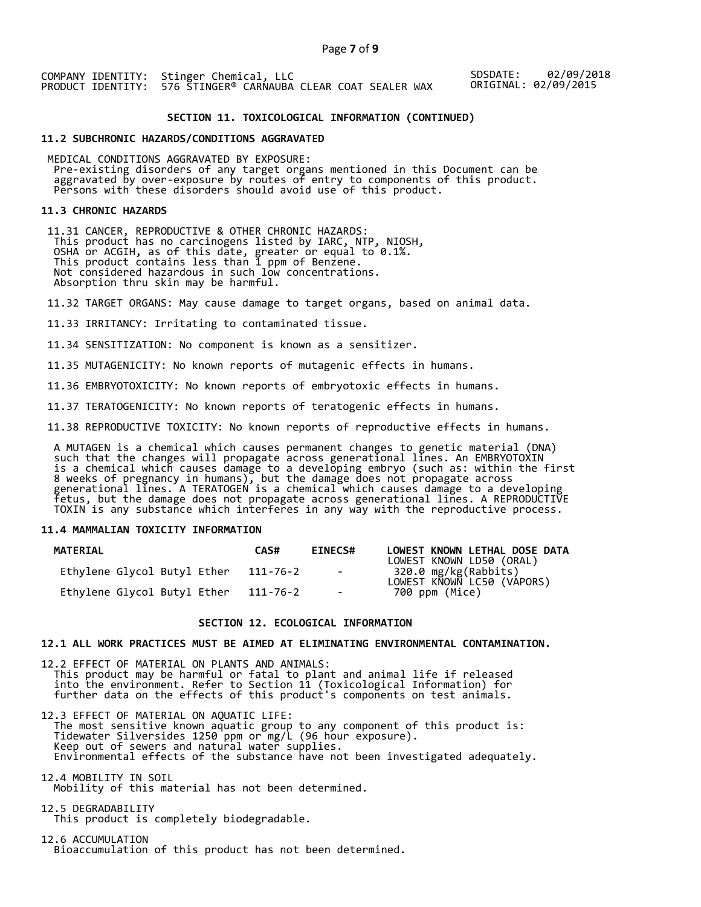SDSDATE: 02/09/2018 ORIGINAL: 02/09/2015

## **SECTION 11. TOXICOLOGICAL INFORMATION (CONTINUED)**

#### **11.2 SUBCHRONIC HAZARDS/CONDITIONS AGGRAVATED**

 MEDICAL CONDITIONS AGGRAVATED BY EXPOSURE: Pre-existing disorders of any target organs mentioned in this Document can be aggravated by over-exposure by routes of entry to components of this product. Persons with these disorders should avoid use of this product.

#### **11.3 CHRONIC HAZARDS**

 11.31 CANCER, REPRODUCTIVE & OTHER CHRONIC HAZARDS: This product has no carcinogens listed by IARC, NTP, NIOSH, OSHA or ACGIH, as of this date, greater or equal to 0.1%. This product contains less than 1 ppm of Benzene. Not considered hazardous in such low concentrations. Absorption thru skin may be harmful.

11.32 TARGET ORGANS: May cause damage to target organs, based on animal data.

11.33 IRRITANCY: Irritating to contaminated tissue.

11.34 SENSITIZATION: No component is known as a sensitizer.

11.35 MUTAGENICITY: No known reports of mutagenic effects in humans.

11.36 EMBRYOTOXICITY: No known reports of embryotoxic effects in humans.

11.37 TERATOGENICITY: No known reports of teratogenic effects in humans.

11.38 REPRODUCTIVE TOXICITY: No known reports of reproductive effects in humans.

 A MUTAGEN is a chemical which causes permanent changes to genetic material (DNA) such that the changes will propagate across generational lines. An EMBRYOTOXIN is a chemical which causes damage to a developing embryo (such as: within the first 8 weeks of pregnancy in humans), but the damage does not propagate across generational lines. A TERATOGEN is a chemical which causes damage to a developing fetus, but the damage does not propagate across generational lines. A REPRODUCTIVE TOXIN is any substance which interferes in any way with the reproductive process.

## **11.4 MAMMALIAN TOXICITY INFORMATION**

| <b>MATERIAL</b>             | CAS#     | <b>EINECS#</b> | LOWEST KNOWN LETHAL DOSE DATA<br>LOWEST KNOWN LD50 (ORAL) |
|-----------------------------|----------|----------------|-----------------------------------------------------------|
| Ethylene Glycol Butyl Ether | 111-76-2 | $\sim$ $-$     | 320.0 mg/kg(Rabbits)<br>LOWEST KNOWN LC50 (VAPORS)        |
| Ethylene Glycol Butyl Ether | 111-76-2 | $\sim$         | 700 ppm (Mice)                                            |

#### **SECTION 12. ECOLOGICAL INFORMATION**

## **12.1 ALL WORK PRACTICES MUST BE AIMED AT ELIMINATING ENVIRONMENTAL CONTAMINATION.**

12.2 EFFECT OF MATERIAL ON PLANTS AND ANIMALS: This product may be harmful or fatal to plant and animal life if released into the environment. Refer to Section 11 (Toxicological Information) for further data on the effects of this product's components on test animals.

12.3 EFFECT OF MATERIAL ON AQUATIC LIFE: The most sensitive known aquatic group to any component of this product is: Tidewater Silversides 1250 ppm or mg/L (96 hour exposure). Keep out of sewers and natural water supplies. Environmental effects of the substance have not been investigated adequately.

12.4 MOBILITY IN SOIL Mobility of this material has not been determined.

12.5 DEGRADABILITY This product is completely biodegradable.

12.6 ACCUMULATION Bioaccumulation of this product has not been determined.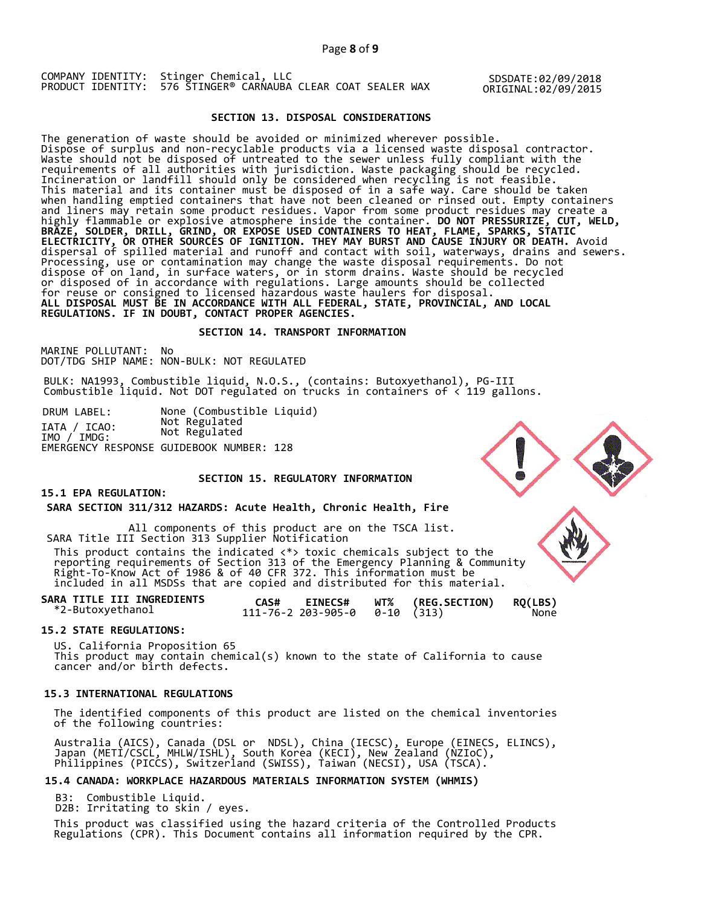Page **8** of **9**

COMPANY IDENTITY: Stinger Chemical, LLC PRODUCT IDENTITY: 576 STINGER® CARNAUBA CLEAR COAT SEALER WAX

SDSDATE:02/09/2018 ORIGINAL:02/09/2015

## **SECTION 13. DISPOSAL CONSIDERATIONS**

The generation of waste should be avoided or minimized wherever possible. Dispose of surplus and non-recyclable products via a licensed waste disposal contractor. Waste should not be disposed of untreated to the sewer unless fully compliant with the requirements of all authorities with jurisdiction. Waste packaging should be recycled. Incineration or landfill should only be considered when recycling is not feasible. This material and its container must be disposed of in a safe way. Care should be taken when handling emptied containers that have not been cleaned or rinsed out. Empty containers and liners may retain some product residues. Vapor from some product residues may create a highly flammable or explosive atmosphere inside the container. **DO NOT PRESSURIZE, CUT, WELD, BRAZE, SOLDER, DRILL, GRIND, OR EXPOSE USED CONTAINERS TO HEAT, FLAME, SPARKS, STATIC ELECTRICITY, OR OTHER SOURCES OF IGNITION. THEY MAY BURST AND CAUSE INJURY OR DEATH.** Avoid dispersal of spilled material and runoff and contact with soil, waterways, drains and sewers. Processing, use or contamination may change the waste disposal requirements. Do not dispose of on land, in surface waters, or in storm drains. Waste should be recycled or disposed of in accordance with regulations. Large amounts should be collected for reuse or consigned to licensed hazardous waste haulers for disposal. **ALL DISPOSAL MUST BE IN ACCORDANCE WITH ALL FEDERAL, STATE, PROVINCIAL, AND LOCAL REGULATIONS. IF IN DOUBT, CONTACT PROPER AGENCIES.** 

#### **SECTION 14. TRANSPORT INFORMATION**

MARINE POLLUTANT: No DOT/TDG SHIP NAME: NON-BULK: NOT REGULATED

BULK: NA1993, Combustible liquid, N.O.S., (contains: Butoxyethanol), PG-III Combustible liquid. Not DOT regulated on trucks in containers of < 119 gallons.

DRUM LABEL: None (Combustible Liquid) IATA / ICAO: Not Regulated IMO / IMDG: Not Regulated EMERGENCY RESPONSE GUIDEBOOK NUMBER: 128

## **SECTION 15. REGULATORY INFORMATION**

## **15.1 EPA REGULATION:**

 **SARA SECTION 311/312 HAZARDS: Acute Health, Chronic Health, Fire** 

All components of this product are on the TSCA list. SARA Title III Section 313 Supplier Notification

 This product contains the indicated <\*> toxic chemicals subject to the reporting requirements of Section 313 of the Emergency Planning & Community Right-To-Know Act of 1986 & of 40 CFR 372. This information must be included in all MSDSs that are copied and distributed for this material.

**SARA TITLE III INGREDIENTS CAS# EINECS# WT% (REG.SECTION) RQ(LBS)** \*2-Butoxyethanol 111-76-2 203-905-0 0-10 (313) None

#### **15.2 STATE REGULATIONS:**

US. California Proposition 65 This product may contain chemical(s) known to the state of California to cause cancer and/or birth defects.

#### **15.3 INTERNATIONAL REGULATIONS**

 The identified components of this product are listed on the chemical inventories of the following countries:

 Australia (AICS), Canada (DSL or NDSL), China (IECSC), Europe (EINECS, ELINCS), Japan (METI/CSCL, MHLW/ISHL), South Korea (KECI), New Zealand (NZIoC), Philippines (PICCS), Switzerland (SWISS), Taiwan (NECSI), USA (TSCA).

#### **15.4 CANADA: WORKPLACE HAZARDOUS MATERIALS INFORMATION SYSTEM (WHMIS)**

B3: Combustible Liquid.

D2B: Irritating to skin / eyes.

 This product was classified using the hazard criteria of the Controlled Products Regulations (CPR). This Document contains all information required by the CPR.